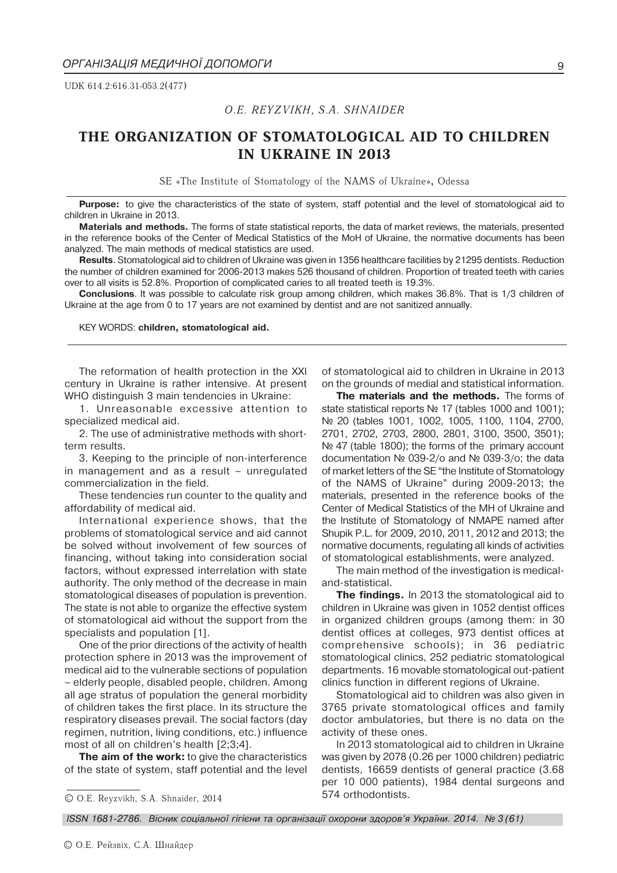UDK 614.2:616.31-053.2(477)

# *O.E. REYZVIKH, S.A. SHNAIDER*

# **THE ORGANIZATION OF STOMATOLOGICAL AID TO CHILDREN IN UKRAINE IN 2013**

SE «The Institute of Stomatology of the NAMS of Ukraine»**,** Odessa

**Purpose:** to give the characteristics of the state of system, staff potential and the level of stomatological aid to children in Ukraine in 2013.

**Materials and methods.** The forms of state statistical reports, the data of market reviews, the materials, presented in the reference books of the Center of Medical Statistics of the MoH of Ukraine, the normative documents has been analyzed. The main methods of medical statistics are used.

**Results**. Stomatological aid to children of Ukraine was given in 1356 healthcare facilities by 21295 dentists. Reduction the number of children examined for 2006-2013 makes 526 thousand of children. Proportion of treated teeth with caries over to all visits is 52.8%. Proportion of complicated caries to all treated teeth is 19.3%.

**Conclusions**. It was possible to calculate risk group among children, which makes 36.8%. That is 1/3 children of Ukraine at the age from 0 to 17 years are not examined by dentist and are not sanitized annually.

KEY WORDS: **children, stomatological aid.**

The reformation of health protection in the XXI century in Ukraine is rather intensive. At present WHO distinguish 3 main tendencies in Ukraine:

1. Unreasonable excessive attention to specialized medical aid.

2. The use of administrative methods with shortterm results.

3. Keeping to the principle of non-interference in management and as a result  $-$  unregulated commercialization in the field.

These tendencies run counter to the quality and affordability of medical aid.

International experience shows, that the problems of stomatological service and aid cannot be solved without involvement of few sources of financing, without taking into consideration social factors, without expressed interrelation with state authority. The only method of the decrease in main stomatological diseases of population is prevention. The state is not able to organize the effective system of stomatological aid without the support from the specialists and population [1].

One of the prior directions of the activity of health protection sphere in 2013 was the improvement of medical aid to the vulnerable sections of population - elderly people, disabled people, children. Among all age stratus of population the general morbidity of children takes the first place. In its structure the respiratory diseases prevail. The social factors (day regimen, nutrition, living conditions, etc.) influence most of all on children's health  $[2:3:4]$ .

**The aim of the work:** to give the characteristics of the state of system, staff potential and the level

© O.E. Reyzvikh, S.A. Shnaider, 2014

of stomatological aid to children in Ukraine in 2013 on the grounds of medial and statistical information.

**The materials and the methods.** The forms of state statistical reports No 17 (tables 1000 and 1001); No 20 (tables 1001, 1002, 1005, 1100, 1104, 2700, 2701, 2702, 2703, 2800, 2801, 3100, 3500, 3501); No 47 (table 1800); the forms of the primary account documentation № 039-2/o and № 039-3/o; the data of market letters of the SE "the Institute of Stomatology of the NAMS of Ukraine" during 2009-2013; the materials, presented in the reference books of the Center of Medical Statistics of the MH of Ukraine and the Institute of Stomatology of NMAPE named after Shupik P.L. for 2009, 2010, 2011, 2012 and 2013; the normative documents, regulating all kinds of activities of stomatological establishments, were analyzed.

The main method of the investigation is medicaland-statistical.

**The findings.** In 2013 the stomatological aid to children in Ukraine was given in 1052 dentist offices in organized children groups (among them: in 30 dentist offices at colleges, 973 dentist offices at comprehensive schools); in 36 pediatric stomatological clinics, 252 pediatric stomatological departments. 16 movable stomatological out-patient clinics function in different regions of Ukraine.

Stomatological aid to children was also given in 3765 private stomatological offices and family doctor ambulatories, but there is no data on the activity of these ones.

In 2013 stomatological aid to children in Ukraine was given by 2078 (0.26 per 1000 children) pediatric dentists, 16659 dentists of general practice (3.68 per 10 000 patients), 1984 dental surgeons and 574 orthodontists.

*ISSN 1681-2786. Вісник соціальної гігієни та організації охорони здоров'я України. 2014. № 3 (61)*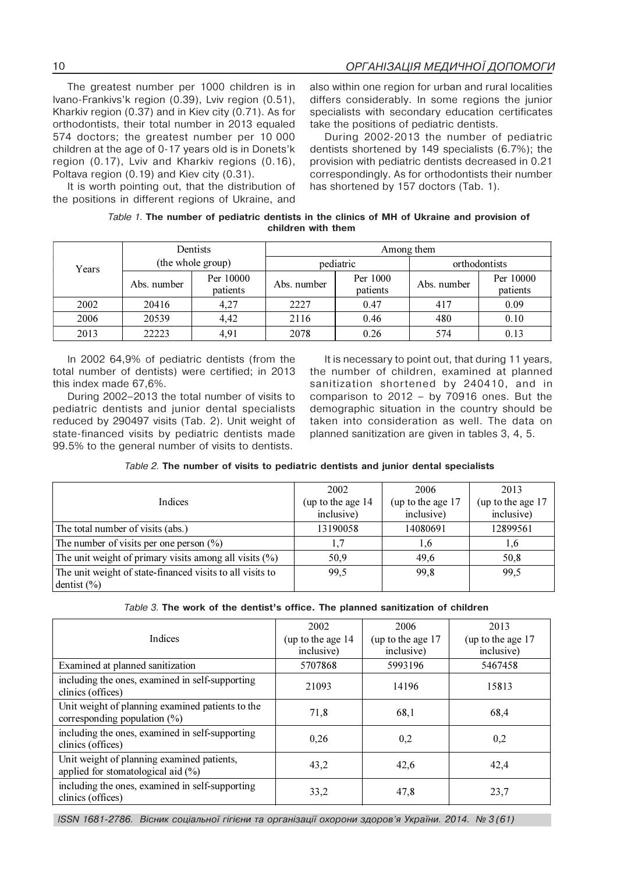The greatest number per 1000 children is in Ivano-Frankivs'k region (0.39), Lviv region (0.51), Kharkiv region (0.37) and in Kiev city (0.71). As for orthodontists, their total number in 2013 equaled 574 doctors; the greatest number per 10 000 children at the age of 0-17 years old is in Donets'k region (0.17), Lviv and Kharkiv regions (0.16), Poltava region (0.19) and Kiev city (0.31).

It is worth pointing out, that the distribution of the positions in different regions of Ukraine, and

also within one region for urban and rural localities differs considerably. In some regions the junior specialists with secondary education certificates take the positions of pediatric dentists.

During 2002-2013 the number of pediatric dentists shortened by 149 specialists (6.7%); the provision with pediatric dentists decreased in 0.21 correspondingly. As for orthodontists their number has shortened by 157 doctors (Tab. 1).

|  |  | Table 1. The number of pediatric dentists in the clinics of MH of Ukraine and provision of |                    |  |  |  |  |
|--|--|--------------------------------------------------------------------------------------------|--------------------|--|--|--|--|
|  |  |                                                                                            | children with them |  |  |  |  |

|       |                   | Dentists              | Among them  |                      |               |                       |  |  |
|-------|-------------------|-----------------------|-------------|----------------------|---------------|-----------------------|--|--|
| Years | (the whole group) |                       |             | pediatric            | orthodontists |                       |  |  |
|       | Abs. number       | Per 10000<br>patients | Abs. number | Per 1000<br>patients | Abs. number   | Per 10000<br>patients |  |  |
| 2002  | 20416             | 4,27                  | 2227        | 0.47                 | 417           | 0.09                  |  |  |
| 2006  | 20539             | 4,42                  | 2116        | 0.46                 | 480           | 0.10                  |  |  |
| 2013  | 22223             | 4,91                  | 2078        | 0.26                 | 574           | 0.13                  |  |  |

In 2002 64,9% of pediatric dentists (from the total number of dentists) were certified; in 2013 this index made 67,6%.

During 2002-2013 the total number of visits to pediatric dentists and junior dental specialists reduced by 290497 visits (Tab. 2). Unit weight of state-financed visits by pediatric dentists made 99.5% to the general number of visits to dentists.

It is necessary to point out, that during 11 years, the number of children, examined at planned sanitization shortened by 240410, and in comparison to  $2012 - by 70916$  ones. But the demographic situation in the country should be taken into consideration as well. The data on planned sanitization are given in tables 3, 4, 5.

| Table 2. The number of visits to pediatric dentists and junior dental specialists |  |
|-----------------------------------------------------------------------------------|--|
|-----------------------------------------------------------------------------------|--|

|                                                           | 2002              | 2006              | 2013              |
|-----------------------------------------------------------|-------------------|-------------------|-------------------|
| Indices                                                   | (up to the age 14 | (up to the age 17 | (up to the age 17 |
|                                                           | inclusive)        | inclusive)        | inclusive)        |
| The total number of visits (abs.)                         | 13190058          | 14080691          | 12899561          |
| The number of visits per one person $(\% )$               | 1,7               | 1.6               | 1,6               |
| The unit weight of primary visits among all visits $(\%)$ | 50,9              | 49,6              | 50,8              |
| The unit weight of state-financed visits to all visits to | 99.5              | 99,8              | 99,5              |
| dentist $(\% )$                                           |                   |                   |                   |

| Table 3. The work of the dentist's office. The planned sanitization of children |  |
|---------------------------------------------------------------------------------|--|
|---------------------------------------------------------------------------------|--|

|                                                                                      | 2002               | 2006               | 2013               |
|--------------------------------------------------------------------------------------|--------------------|--------------------|--------------------|
| <b>Indices</b>                                                                       | (up to the age 14) | (up to the age 17) | (up to the age 17) |
|                                                                                      | inclusive)         | inclusive)         | inclusive)         |
| Examined at planned sanitization                                                     | 5707868            | 5993196            | 5467458            |
| including the ones, examined in self-supporting<br>clinics (offices)                 | 21093              | 14196              | 15813              |
| Unit weight of planning examined patients to the<br>corresponding population $(\% )$ | 71,8               | 68,1               | 68,4               |
| including the ones, examined in self-supporting<br>clinics (offices)                 | 0,26               | 0,2                | 0,2                |
| Unit weight of planning examined patients,<br>applied for stomatological aid $(\%)$  | 43,2               | 42,6               | 42,4               |
| including the ones, examined in self-supporting<br>clinics (offices)                 | 33,2               | 47,8               | 23,7               |

*ISSN 1681-2786. Вісник соціальної гігієни та організації охорони здоров'я України. 2014. № 3 (61)*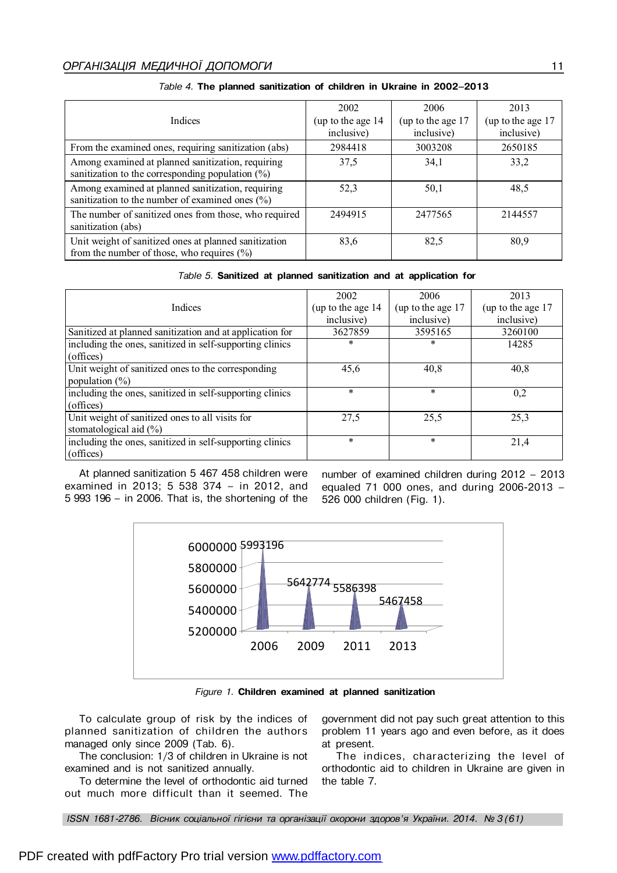| Indices                                                                                                  | 2002<br>(up to the age 14) | 2006<br>(up to the age 17 | 2013<br>(up to the age 17 |
|----------------------------------------------------------------------------------------------------------|----------------------------|---------------------------|---------------------------|
|                                                                                                          | inclusive)                 | inclusive)                | inclusive)                |
| From the examined ones, requiring sanitization (abs)                                                     | 2984418                    | 3003208                   | 2650185                   |
| Among examined at planned sanitization, requiring<br>sanitization to the corresponding population $(\%)$ | 37,5                       | 34,1                      | 33,2                      |
| Among examined at planned sanitization, requiring<br>sanitization to the number of examined ones $(\% )$ | 52,3                       | 50,1                      | 48,5                      |
| The number of sanitized ones from those, who required<br>sanitization (abs)                              | 2494915                    | 2477565                   | 2144557                   |
| Unit weight of sanitized ones at planned sanitization<br>from the number of those, who requires $(\% )$  | 83,6                       | 82,5                      | 80,9                      |

# Table 4. The planned sanitization of children in Ukraine in 2002-2013

|                                                          | 2002              | 2006               | 2013              |
|----------------------------------------------------------|-------------------|--------------------|-------------------|
| Indices                                                  | (up to the age 14 | (up to the age 17) | (up to the age 17 |
|                                                          | inclusive)        | inclusive)         | inclusive)        |
| Sanitized at planned sanitization and at application for | 3627859           | 3595165            | 3260100           |
| including the ones, sanitized in self-supporting clinics | *                 | *                  | 14285             |
| (offices)                                                |                   |                    |                   |
| Unit weight of sanitized ones to the corresponding       | 45,6              | 40,8               | 40,8              |
| population $(\%)$                                        |                   |                    |                   |
| including the ones, sanitized in self-supporting clinics | $\ast$            | $\ast$             | 0,2               |
| (offices)                                                |                   |                    |                   |
| Unit weight of sanitized ones to all visits for          | 27,5              | 25,5               | 25,3              |
| stomatological aid $(\%)$                                |                   |                    |                   |
| including the ones, sanitized in self-supporting clinics | $\ast$            | $\ast$             | 21,4              |
| (offices)                                                |                   |                    |                   |

At planned sanitization 5 467 458 children were examined in 2013; 5 538 374 - in 2012, and 5 993 196 - in 2006. That is, the shortening of the number of examined children during 2012 - 2013 equaled 71 000 ones, and during 2006-2013 -526 000 children (Fig. 1).



Figure 1. Children examined at planned sanitization

To calculate group of risk by the indices of planned sanitization of children the authors managed only since 2009 (Tab. 6).

The conclusion: 1/3 of children in Ukraine is not examined and is not sanitized annually.

To determine the level of orthodontic aid turned out much more difficult than it seemed. The government did not pay such great attention to this problem 11 years ago and even before, as it does at present.

The indices, characterizing the level of orthodontic aid to children in Ukraine are given in the table 7.

ISSN 1681-2786. Вісник соціальної гігієни та організації охорони здоров'я України. 2014. № 3 (61)

11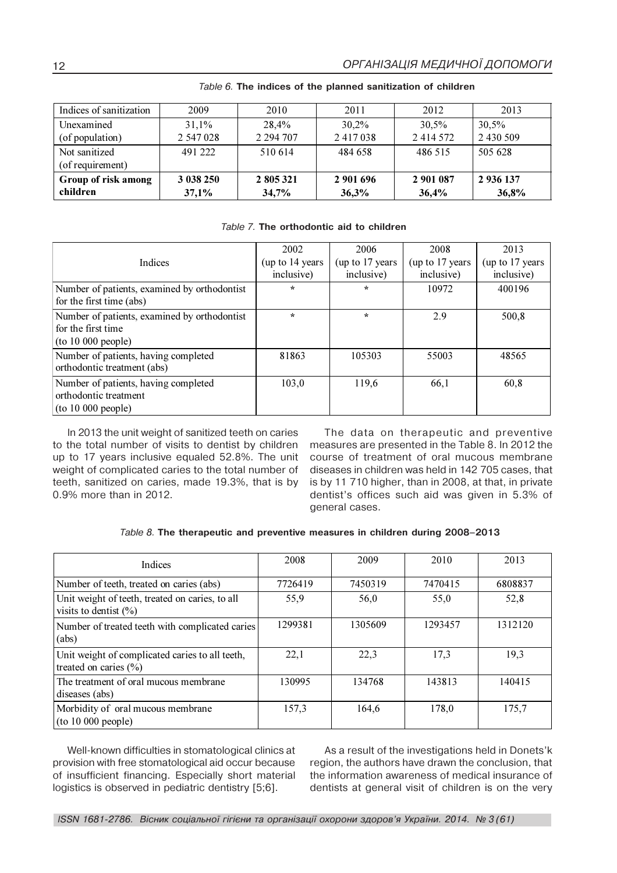| Indices of sanitization | 2009      | 2010          | 2011      | 2012          | 2013      |
|-------------------------|-----------|---------------|-----------|---------------|-----------|
| Unexamined              | 31,1%     | 28,4%         | 30,2%     | 30,5%         | 30,5%     |
| (of population)         | 2 547 028 | 2 2 9 4 7 0 7 | 2417038   | 2 4 1 4 5 7 2 | 2 430 509 |
| Not sanitized           | 491 222   | 510 614       | 484 658   | 486 515       | 505 628   |
| (of requirement)        |           |               |           |               |           |
| Group of risk among     | 3 038 250 | 2 805 321     | 2 901 696 | 2 901 087     | 2 936 137 |
| children                | 37,1%     | 34,7%         | 36,3%     | 36,4%         | 36,8%     |

*Table 6.* **The indices of the planned sanitization of children**

# *Table 7.* **The orthodontic aid to children**

|                                                                                          | 2002                           | 2006                           | 2008                          | 2013                           |
|------------------------------------------------------------------------------------------|--------------------------------|--------------------------------|-------------------------------|--------------------------------|
| Indices                                                                                  | (up to 14 years)<br>inclusive) | (up to 17 years)<br>inclusive) | (up to 17 years<br>inclusive) | (up to 17 years)<br>inclusive) |
| Number of patients, examined by orthodontist<br>for the first time (abs)                 | $\star$                        | $\star$                        | 10972                         | 400196                         |
| Number of patients, examined by orthodontist<br>for the first time<br>(to 10 000 people) | $\star$                        | $\star$                        | 2.9                           | 500,8                          |
| Number of patients, having completed<br>orthodontic treatment (abs)                      | 81863                          | 105303                         | 55003                         | 48565                          |
| Number of patients, having completed<br>orthodontic treatment<br>(to 10 000 people)      | 103,0                          | 119,6                          | 66,1                          | 60,8                           |

In 2013 the unit weight of sanitized teeth on caries to the total number of visits to dentist by children up to 17 years inclusive equaled 52.8%. The unit weight of complicated caries to the total number of teeth, sanitized on caries, made 19.3%, that is by 0.9% more than in 2012.

The data on therapeutic and preventive measures are presented in the Table 8. In 2012 the course of treatment of oral mucous membrane diseases in children was held in 142 705 cases, that is by 11 710 higher, than in 2008, at that, in private dentist's offices such aid was given in 5.3% of general cases.

| Table 8. The therapeutic and preventive measures in children during 2008-2013 |  |  |  |  |  |
|-------------------------------------------------------------------------------|--|--|--|--|--|
|-------------------------------------------------------------------------------|--|--|--|--|--|

| <b>Indices</b>                                                               | 2008    | 2009    | 2010    | 2013    |
|------------------------------------------------------------------------------|---------|---------|---------|---------|
| Number of teeth, treated on caries (abs)                                     | 7726419 | 7450319 | 7470415 | 6808837 |
| Unit weight of teeth, treated on caries, to all<br>visits to dentist $(\%)$  | 55,9    | 56,0    | 55,0    | 52,8    |
| Number of treated teeth with complicated caries<br>(abs)                     | 1299381 | 1305609 | 1293457 | 1312120 |
| Unit weight of complicated caries to all teeth,<br>treated on caries $(\% )$ | 22,1    | 22,3    | 17,3    | 19,3    |
| The treatment of oral mucous membrane<br>diseases (abs)                      | 130995  | 134768  | 143813  | 140415  |
| Morbidity of oral mucous membrane<br>(to 10 000 people)                      | 157,3   | 164,6   | 178.0   | 175,7   |

Well-known difficulties in stomatological clinics at provision with free stomatological aid occur because of insufficient financing. Especially short material logistics is observed in pediatric dentistry [5;6].

As a result of the investigations held in Donets'k region, the authors have drawn the conclusion, that the information awareness of medical insurance of dentists at general visit of children is on the very

12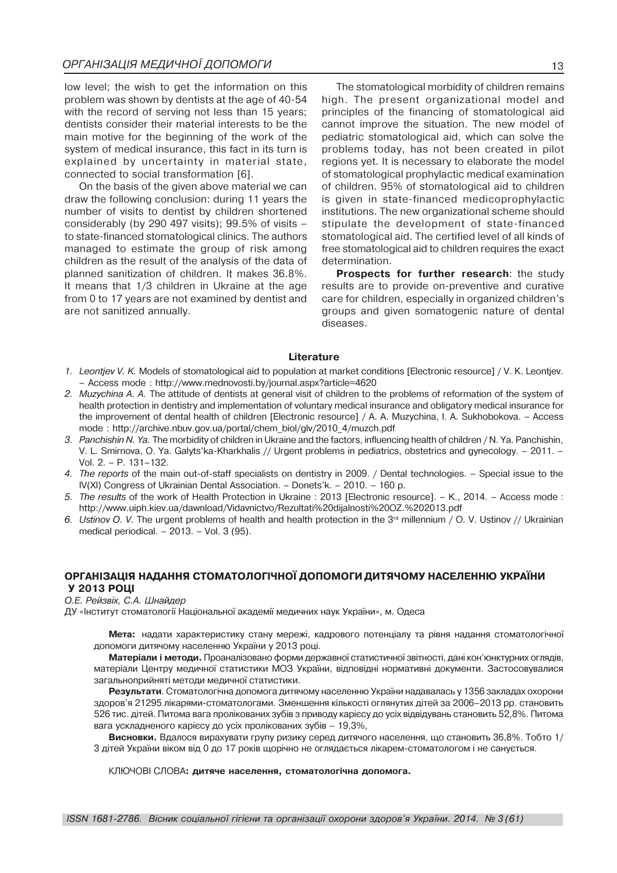low level; the wish to get the information on this problem was shown by dentists at the age of 40-54 with the record of serving not less than 15 years; dentists consider their material interests to be the main motive for the beginning of the work of the system of medical insurance, this fact in its turn is explained by uncertainty in material state, connected to social transformation [6].

On the basis of the given above material we can draw the following conclusion: during 11 years the number of visits to dentist by children shortened considerably (by 290 497 visits); 99.5% of visits to state-financed stomatological clinics. The authors managed to estimate the group of risk among children as the result of the analysis of the data of planned sanitization of children. It makes 36.8%. It means that 1/3 children in Ukraine at the age from 0 to 17 years are not examined by dentist and are not sanitized annually.

The stomatological morbidity of children remains high. The present organizational model and principles of the financing of stomatological aid cannot improve the situation. The new model of pediatric stomatological aid, which can solve the problems today, has not been created in pilot regions yet. It is necessary to elaborate the model of stomatological prophylactic medical examination of children. 95% of stomatological aid to children is given in state-financed medicoprophylactic institutions. The new organizational scheme should stipulate the development of state-financed stomatological aid. The certified level of all kinds of free stomatological aid to children requires the exact determination.

**Prospects for further research**: the study results are to provide on-preventive and curative care for children, especially in organized children's groups and given somatogenic nature of dental diseases.

#### **Literature**

- *1. Leontjev V. K.* Models of stomatological aid to population at market conditions [Electronic resource] / V. K. Leontjev. Access mode : http://www.mednovosti.by/journal.aspx?article=4620
- *2. Muzychina A. A.* The attitude of dentists at general visit of children to the problems of reformation of the system of health protection in dentistry and implementation of voluntary medical insurance and obligatory medical insurance for the improvement of dental health of children [Electronic resource] / A. A. Muzychina, I. A. Sukhobokova. - Access mode : http://archive.nbuv.gov.ua/portal/chem\_biol/glv/2010\_4/muzch.pdf
- *3. Panchishin N. Ya.* The morbidity of children in Ukraine and the factors, influencing health of children / N. Ya. Panchishin, V. L. Smirnova, O. Ya. Galyts'ka-Kharkhalis // Urgent problems in pediatrics, obstetrics and gynecology. - 2011. -Vol.  $2. - P. 131 - 132$ .
- 4. The reports of the main out-of-staff specialists on dentistry in 2009. / Dental technologies. Special issue to the IV(XI) Congress of Ukrainian Dental Association.  $-$  Donets'k.  $-$  2010.  $-$  160 p.
- *5. The results* of the work of Health Protection in Ukraine : 2013 [Electronic resource]. K., 2014. Access mode : http://www.uiph.kiev.ua/dawnload/Vidavnictvo/Rezultati%20dijalnosti%20OZ.%202013.pdf
- 6. *Ustinov O. V.* The urgent problems of health and health protection in the 3<sup>rd</sup> millennium / O. V. Ustinov // Ukrainian medical periodical.  $-2013. - Vol. 3 (95)$ .

### ОРГАНІЗАЦІЯ НАДАННЯ СТОМАТОЛОГІЧНОЇ ДОПОМОГИ ДИТЯЧОМУ НАСЕЛЕННЮ УКРАЇНИ **У 2013 РОШ**

О.Е. Рейзвіх, С.А. Шнайдер

ДУ «Інститут стоматології Національної академії медичних наук України», м. Одеса

**Мета:** надати характеристику стану мережі, кадрового потенціалу та рівня надання стоматологічної допомоги дитячому населенню України у 2013 році.

Матеріали і методи. Проаналізовано форми державної статистичної звітності, дані кон'юнктурних оглядів, матеріали Центру медичної статистики МОЗ України, відповідні нормативні документи. Застосовувалися загальноприйняті методи медичної статистики.

**Результати**. Стоматологічна допомога дитячому населенню України надавалась у 1356 закладах охорони здоров'я 21295 лікарями-стоматологами. Зменшення кількості оглянутих дітей за 2006–2013 рр. становить 526 тис. дітей. Питома вага пролікованих зубів з приводу карієсу до усіх відвідувань становить 52,8%. Питома вага ускладненого карієсу до усіх пролікованих зубів - 19,3%,

Висновки. Вдалося вирахувати групу ризику серед дитячого населення, що становить 36,8%. Тобто 1/ 3 дітей України віком від 0 до 17 років щорічно не оглядається лікарем-стоматологом і не санується.

КЛЮЧОВІ СЛОВА: дитяче населення, стоматологічна допомога.